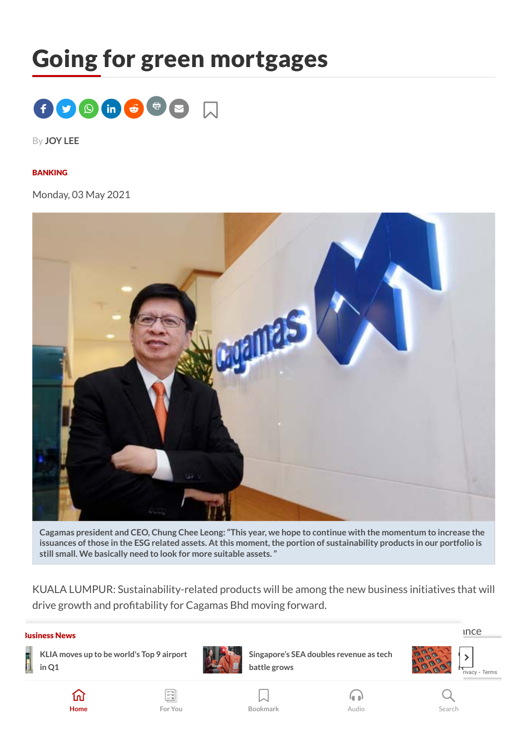# Going for green mortgages



By **[JOY](https://www.thestar.com.my/authors?q=JOY+LEE) LEE**

#### [BANKING](https://www.thestar.com.my/tag/banking)

Monday, 03 May 2021



Cagamas president and CEO, Chung Chee Leong: "This year, we hope to continue with the momentum to increase the issuances of those in the ESG related assets. At this moment, the portion of sustainability products in our portfolio is **still small. We basically need to look for more suitable assets."**

KUALA LUMPUR: Sustainability-related products will be among the new business initiatives that will drive growth and profitability for Cagamas Bhd moving forward.

#### The News Corporation intended more environmental, social and governmental, social and governmental, social and governance Business News



**KLIA** moves up to be world's Top 9 airport **the [RM200](https://www.thestar.com.my/tech/tech-news/2021/05/19/chip-crisis-in-danger-zone-as-wait-times-reach-new-record)** singapore's SEA doubles revenue as tech **the pair of the set of the set of the set of the set of the set of the set of the set of the set of the set of the set of the in Q1**



**[Singapore's](https://www.thestar.com.my/business/business-news/2021/05/19/singapores-sea-doubles-revenue-as-tech-battle-grows) SEA doubles revenue as tech battle grows**











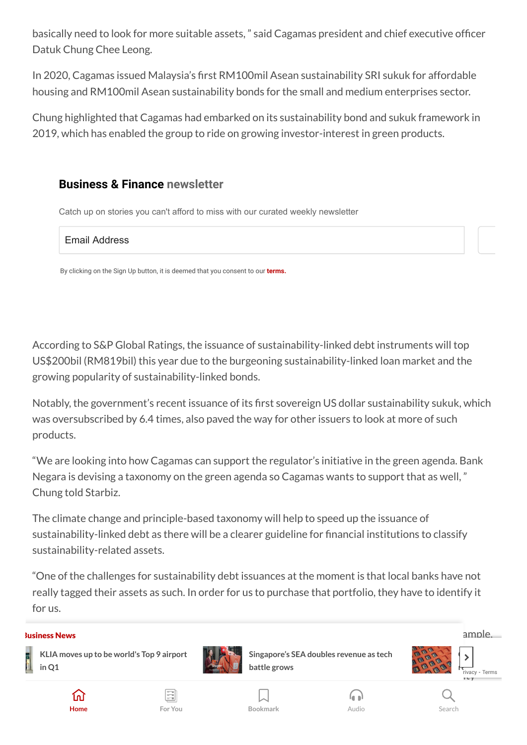basically need to look for more suitable assets," said Cagamas president and chief executive officer Datuk Chung Chee Leong.

In 2020, Cagamas issued Malaysia's first RM100mil Asean sustainability SRI sukuk for affordable housing and RM100mil Asean sustainability bonds for the small and medium enterprises sector.

Chung highlighted that Cagamas had embarked on its sustainability bond and sukuk framework in 2019, which has enabled the group to ride on growing investor-interest in green products.

## **Business & Finance newsletter**

Catch up on stories you can't afford to miss with our curated weekly newsletter

Email Address

By clicking on the Sign Up button, it is deemed that you consent to our **terms.**

According to S&P Global Ratings, the issuance of sustainability-linked debt instruments will top US\$200bil (RM819bil) this year due to the burgeoning sustainability-linked loan market and the growing popularity of sustainability-linked bonds.

Notably, the government's recent issuance of its first sovereign US dollar sustainability sukuk, which was oversubscribed by 6.4 times, also paved the way for other issuers to look at more of such products.

"We are looking into how Cagamas can support the regulator's initiative in the green agenda. Bank Negara is devising a taxonomy on the green agenda so Cagamas wants to support that as well, " Chung told Starbiz.

The climate change and principle-based taxonomy will help to speed up the issuance of sustainability-linked debt as there will be a clearer guideline for financial institutions to classify sustainability-related assets.

"One of the challenges for sustainability debt issuances at the moment is that local banks have not really tagged their assets as such. In order for us to purchase that portfolio, they have to identify it for us.

#### ${\sf siness News}$  ample, there is no agreed upon denition that is adopted by the various parties. For example,  ${\sf ample}$  ample, Business News





**[Singapore's](https://www.thestar.com.my/business/business-news/2021/05/19/singapores-sea-doubles-revenue-as-tech-battle-grows) SEA doubles revenue as tech battle grows**